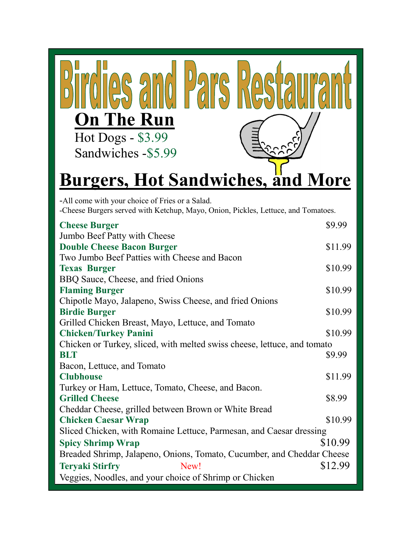| <b>On The Run</b>            |                     |
|------------------------------|---------------------|
| Hot Dogs - \$3.99            |                     |
| Sandwiches -\$5.99           |                     |
| <b>Hot Sandwich</b><br>raarc | $\Delta \mathbf{C}$ |

## **Burgers, Hot Sandwiches, and More**

-All come with your choice of Fries or a Salad.

-Cheese Burgers served with Ketchup, Mayo, Onion, Pickles, Lettuce, and Tomatoes.

| <b>Cheese Burger</b>                                                     | \$9.99  |  |
|--------------------------------------------------------------------------|---------|--|
| Jumbo Beef Patty with Cheese                                             |         |  |
| <b>Double Cheese Bacon Burger</b>                                        | \$11.99 |  |
| Two Jumbo Beef Patties with Cheese and Bacon                             |         |  |
| <b>Texas Burger</b>                                                      | \$10.99 |  |
| BBQ Sauce, Cheese, and fried Onions                                      |         |  |
| <b>Flaming Burger</b>                                                    | \$10.99 |  |
| Chipotle Mayo, Jalapeno, Swiss Cheese, and fried Onions                  |         |  |
| <b>Birdie Burger</b>                                                     | \$10.99 |  |
| Grilled Chicken Breast, Mayo, Lettuce, and Tomato                        |         |  |
| <b>Chicken/Turkey Panini</b>                                             | \$10.99 |  |
| Chicken or Turkey, sliced, with melted swiss cheese, lettuce, and tomato |         |  |
| <b>BLT</b>                                                               | \$9.99  |  |
| Bacon, Lettuce, and Tomato                                               |         |  |
| <b>Clubhouse</b>                                                         | \$11.99 |  |
| Turkey or Ham, Lettuce, Tomato, Cheese, and Bacon.                       |         |  |
| <b>Grilled Cheese</b>                                                    | \$8.99  |  |
| Cheddar Cheese, grilled between Brown or White Bread                     |         |  |
| <b>Chicken Caesar Wrap</b>                                               | \$10.99 |  |
| Sliced Chicken, with Romaine Lettuce, Parmesan, and Caesar dressing      |         |  |
| <b>Spicy Shrimp Wrap</b>                                                 | \$10.99 |  |
| Breaded Shrimp, Jalapeno, Onions, Tomato, Cucumber, and Cheddar Cheese   |         |  |
| <b>Teryaki Stirfry</b><br>New!                                           | \$12.99 |  |
| Veggies, Noodles, and your choice of Shrimp or Chicken                   |         |  |